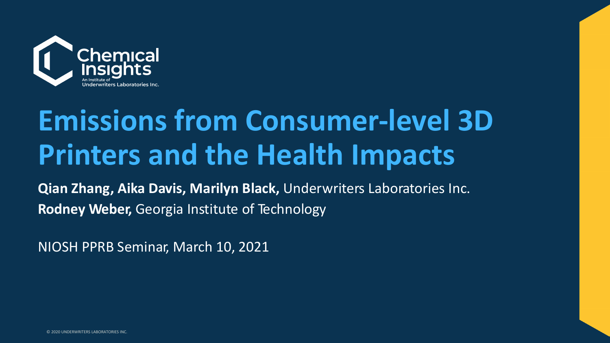

# **Emissions from Consumer-level 3D Printers and the Health Impacts**

**Qian Zhang, Aika Davis, Marilyn Black,** Underwriters Laboratories Inc. **Rodney Weber,** Georgia Institute of Technology

NIOSH PPRB Seminar, March 10, 2021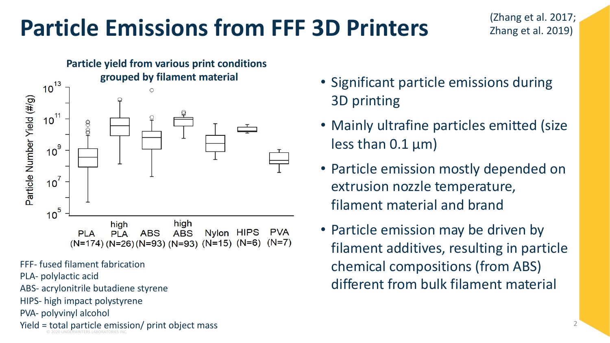### **Particle Emissions from FFF 3D Printers**



FFF- fused filament fabrication

PLA- polylactic acid

ABS- acrylonitrile butadiene styrene

HIPS- high impact polystyrene

PVA- polyvinyl alcohol

© 2020 UNDERWRITERS LABORATORIES INC. Yield = total particle emission/ print object mass

- Significant particle emissions during 3D printing
- Mainly ultrafine particles emitted (size less than  $0.1 \mu m$ )
- Particle emission mostly depended on extrusion nozzle temperature, filament material and brand
- Particle emission may be driven by filament additives, resulting in particle chemical compositions (from ABS) different from bulk filament material

(Zhang et al. 2017;

Zhang et al. 2019)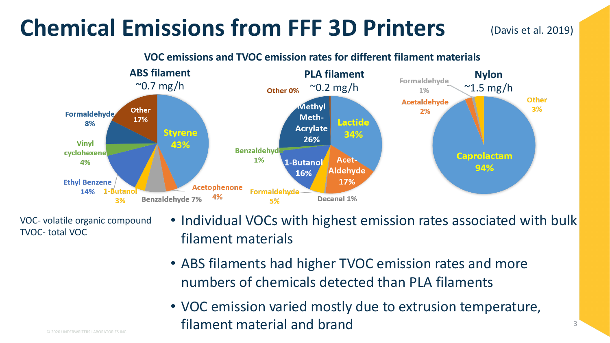#### **Chemical Emissions from FFF 3D Printers**

(Davis et al. 2019)



VOC- volatile organic compound TVOC- total VOC

- Individual VOCs with highest emission rates associated with bulk filament materials
- ABS filaments had higher TVOC emission rates and more numbers of chemicals detected than PLA filaments
- VOC emission varied mostly due to extrusion temperature, filament material and brand